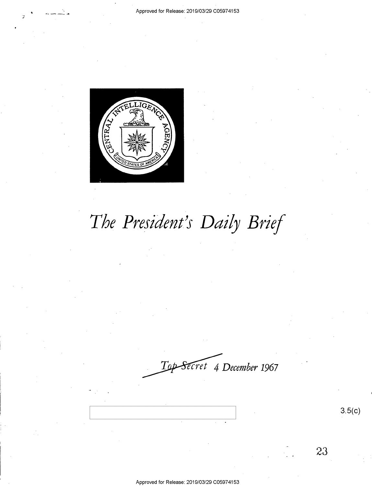

-, '

# *The President's Daily Brief*

Secret 4 December 1967

23

3.5(c)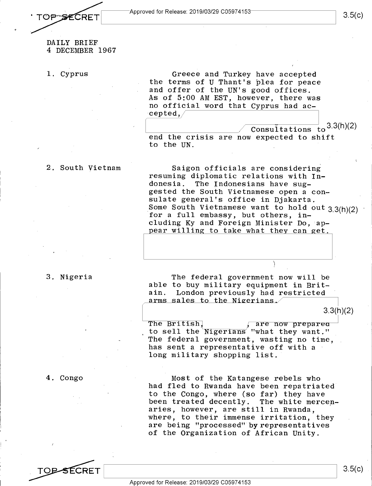OP SECRET

### DAILY BRIEF 4 DECEMBER 1967

1. Cyprus

Greece and Turkey have accepted the terms of U Thant's plea for peace and offer of the UN's good offices. As of 5:00 AM EST, however, there was no official word that Cyprus had ac $cepted, /$ 

 $\begin{array}{|c|c|c|}\n\hline\n\text{ } & \text{ } & \text{ } & \text{ } & \text{ } & \text{ } & \text{ } & \text{.} & \text{.} & \text{.} & \text{.} & \text{.} & \text{.} \end{array}$ end the crisis are now expected to shift to the UN.

### 2. South Vietnam

Saigon officials are considering resuming diplomatic relations with In-<br>donesia. The Indonesians have sug-The Indonesians have suggested the South Vietnamese open a consulate general's office in Djakarta. Some South Vietnamese want to hold out 3.3(h)(2) for a full embassy, but others, including Ky and Foreign Minister Do, appear willing to take what they can get.

### 3. Nigeria

The federal government now will be able to buy military equipment in Britain. London previously had restricted arms sales to the Nigerians.

3.3(h)(2)

The British, The British, The British, to sell the Nigerians "what they want." The federal government, wasting no time, has sent a representative off with a long military shopping list.

Most of the Katangese rebels who had fled to Rwanda have been repatriated to the Congo, where (so far) they have been treated decently. The white mercenaries, however, are still in Rwanda, where, to their immense irritation, they are being "processed" by representatives of the Organization of African Unity.

4. Congo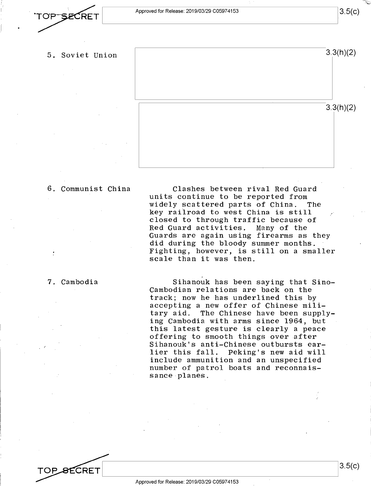### 5. Soviet Union



### 6. Communist China

7. Cambodia

TOP\_<del>S</del>ECRET

Clashes between rival Red Guard units continue to be reported from widely scattered parts of China. The key railroad to west China is still closed to through traffic because of<br>Red Guard activities. Many of the Red Guard activities. Guards are again using firearms as they did during the bloody summer months. Fighting, however, is still on a smaller scale than it was then.

Sihanouk has been saying that Sino-Cambodian relations are back on the track; now he has underlined this by accepting a new offer of Chinese military aid. The Chinese have been supplying Cambodia with arms since 1964, but this latest gesture is clearly a peace offering to smooth things over after Sihanouk's anti-Chinese outbursts ear-Peking's new aid will include ammunition and an unspecified number of patrol boats and reconnaissance planes.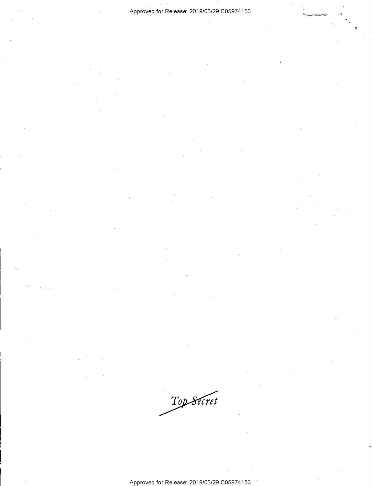-~

Top Secret

Approved for Release: 2019/03/29 C0597 4153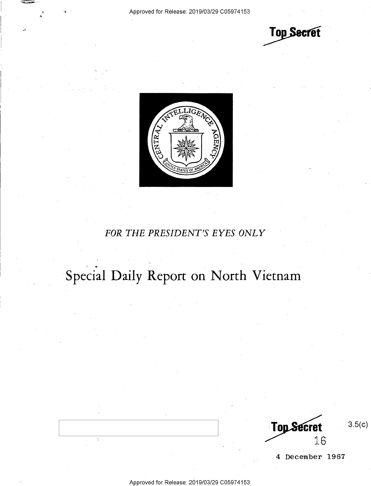$~\sim~$ 

**Top Secret** 



### *FOR THE PRESIDENT'S EYES ONLY*

## Special Daily Report on North Vietnam

**Top Secret** 16

 $3.5(c)$ 

**4 December 1967**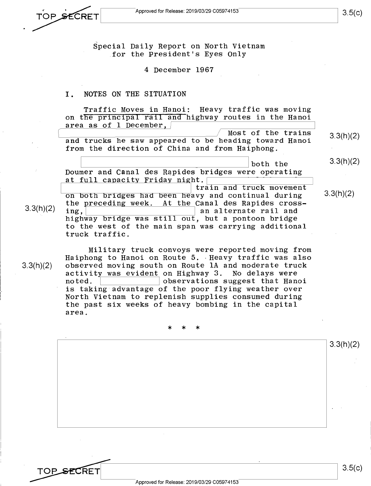3.3(h)(2)

TOP SEC

**RF** 

3.5(c)

3.3(h)(2)

3.3(h)(2)

Special Daily Report on North Vietnam for the President's Eyes Only

4 December 1967

#### I. NOTES ON THE SITUATION

Traffic Moves in Hanoi: Heavy traffic was moving on the principal rail and highway routes in the Hanoi area as of 1 December.  $\sqrt{ }$ 

Most of the trains and trucks he saw appeared to be heading toward Hanoi from the direction of China and from Haiphong. 3.3(h)(2)

we said the setting the source of the source of the source of the setting the setting the setting  $\frac{1}{2}$  both the setting  $\frac{1}{2}$ at full capacity Friday night.<br>| train and truck movement on both bridges had been heavy and continual during

the preceding week. At the Canal des Rapides cross-<br>ing.  $3.3(h)(2)$  ing,  $\frac{h^2(1-h)(1-h)}{h}$  an alternate rail and highway bridge was still out, but a pontoon bridge to the west of the main span was carrying additional truck traffic.

> Military truck convoys were reported moving from Haiphong to Hanoi on Route 5. Heavy traffic was also observed moving south on Route lA and moderate truck  $\begin{array}{cccc} \texttt{activity was evident on} \end{array}$  on Highway 3. No delays were noted. observations suggest that Hanoi is taking advantage of the poor flying weather over North Vietnam to replenish supplies consumed during the past six weeks of heavy bombing in the capital area.

> > \* \* \*

3.3(h)(2)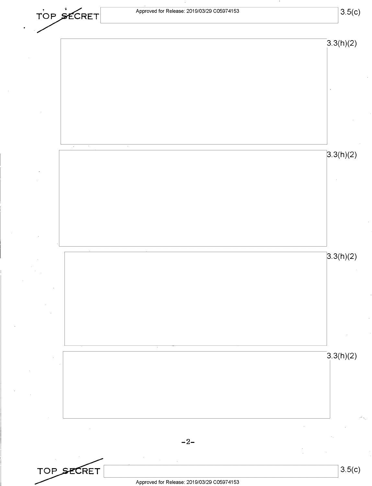| TOP SECRET | Approved for Release: 2019/03/29 C05974153 | 3.5(c)    |
|------------|--------------------------------------------|-----------|
|            |                                            | 3.3(h)(2) |
|            |                                            |           |
|            |                                            |           |
|            |                                            |           |
|            |                                            |           |
| $\sim$     | $\sim$                                     | 3.3(h)(2) |
|            |                                            |           |
|            |                                            |           |
|            |                                            |           |
|            |                                            |           |
|            |                                            | 3.3(h)(2) |
|            |                                            |           |
|            |                                            |           |
|            |                                            |           |
|            |                                            |           |
|            |                                            | 3.3(h)(2) |
|            |                                            |           |
|            |                                            |           |
|            |                                            |           |
|            | $-2-$                                      |           |
| TOP SECRET |                                            | 3.5(c)    |

 $\hat{\boldsymbol{\cdot}$ 

Approved for Release: 2019/03/29 C0597 4153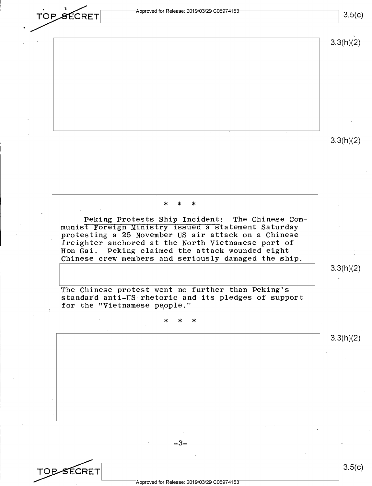**TO P & ECRET** Approved for Release: 2019/03/29 C05974153 *TOP SECRET* Approved for Release: 2019/03/29 C05974153 3.5(c)

3.3(h)(2)

3.3(h)(2)

## \* \* \*

Peking Protests Ship Incident: The Chinese Communist Foreign Ministry issued a statement Saturday protesting a 25 November US air attack on a Chinese freighter anchored at the North Vietnamese port of Hon Gai. Peking claimed the attack wounded eight Chinese crew members and seriously damaged the ship.

3.3(h)(2)

The Chinese protest went no further than Peking's standard anti-US rhetoric and its pledges of support for the "Vietnamese people."

## \* \* \*

3.3(h)(2)

-3-

TOPSECRET

3.5(c)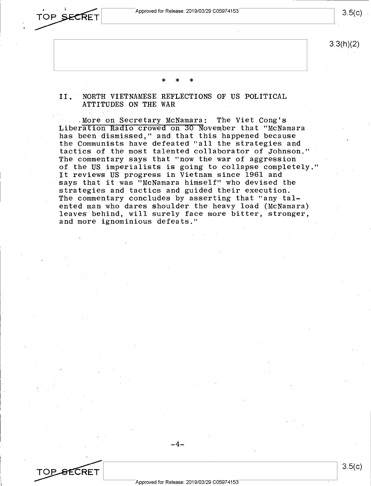

3.3(h)(2)

 $3.5(c)$ .

## \* \* \*

### II. NORTH VIETNAMESE REFLECTIONS OF US POLITICAL ATTITUDES ON THE WAR

.More on Secretary McNamara: The Viet Cong's Liberation Radio crowed on 30 November that "McNamara has been dismissed," and that this happened because the Communists have defeated "all the strategies and tactics of the most talented collaborator of Johnson." The commentary says that "now the war of aggression of the US imperialists is going to collapse completely." It reviews US progress in Vietnam since 1961 and says that it was "McNamara himself" who devised the strategies and tactics and guided their execution. The commentary concludes by asserting that "any talented man who dares shoulder the heavy load (McNamara) leaves behind, will surely face more bitter, stronger, and more ignominious defeats."